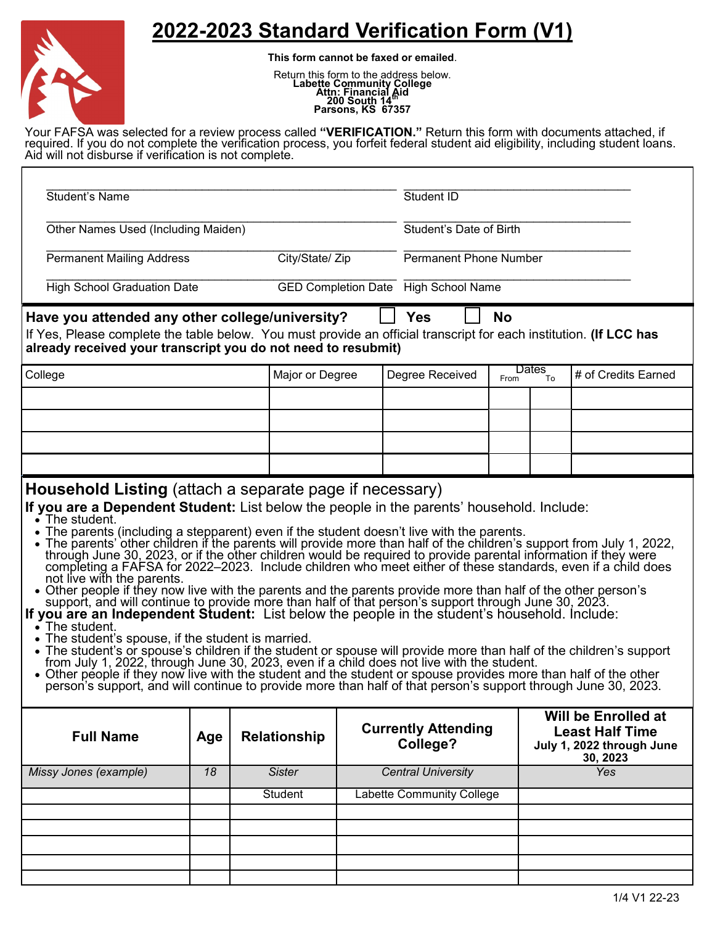## **2022-2023 Standard Verification Form (V1)**



**This form cannot be faxed or emailed**.

Return this form to the address below.<br> **Labette Community College**<br> **Attn: Financial Aid<br>
200 South 14<sup>th</sup><br>
Parsons, KS 67357** 

Your FAFSA was selected for a review process called **"VERIFICATION."** Return this form with documents attached, if required. If you do not complete the verification process, you forfeit federal student aid eligibility, including student loans. Aid will not disburse if verification is not complete.

| <b>Student's Name</b>                                                                                                                                                                                                                                                                                                                                                                                                                                                                                                                                                                                                                                                                                                                                                                                                                                                                                                                                                                                                                                                                                                                                                                                                                                                                                                                                                  |     |                     |                                        | Student ID                           |           |                                                                                        |                     |
|------------------------------------------------------------------------------------------------------------------------------------------------------------------------------------------------------------------------------------------------------------------------------------------------------------------------------------------------------------------------------------------------------------------------------------------------------------------------------------------------------------------------------------------------------------------------------------------------------------------------------------------------------------------------------------------------------------------------------------------------------------------------------------------------------------------------------------------------------------------------------------------------------------------------------------------------------------------------------------------------------------------------------------------------------------------------------------------------------------------------------------------------------------------------------------------------------------------------------------------------------------------------------------------------------------------------------------------------------------------------|-----|---------------------|----------------------------------------|--------------------------------------|-----------|----------------------------------------------------------------------------------------|---------------------|
| Other Names Used (Including Maiden)                                                                                                                                                                                                                                                                                                                                                                                                                                                                                                                                                                                                                                                                                                                                                                                                                                                                                                                                                                                                                                                                                                                                                                                                                                                                                                                                    |     |                     |                                        | Student's Date of Birth              |           |                                                                                        |                     |
| <b>Permanent Mailing Address</b>                                                                                                                                                                                                                                                                                                                                                                                                                                                                                                                                                                                                                                                                                                                                                                                                                                                                                                                                                                                                                                                                                                                                                                                                                                                                                                                                       |     | City/State/ Zip     |                                        | <b>Permanent Phone Number</b>        |           |                                                                                        |                     |
| <b>High School Graduation Date</b>                                                                                                                                                                                                                                                                                                                                                                                                                                                                                                                                                                                                                                                                                                                                                                                                                                                                                                                                                                                                                                                                                                                                                                                                                                                                                                                                     |     |                     |                                        | GED Completion Date High School Name |           |                                                                                        |                     |
| Have you attended any other college/university?<br>If Yes, Please complete the table below. You must provide an official transcript for each institution. (If LCC has<br>already received your transcript you do not need to resubmit)                                                                                                                                                                                                                                                                                                                                                                                                                                                                                                                                                                                                                                                                                                                                                                                                                                                                                                                                                                                                                                                                                                                                 |     |                     |                                        | <b>Yes</b>                           | <b>No</b> |                                                                                        |                     |
| College                                                                                                                                                                                                                                                                                                                                                                                                                                                                                                                                                                                                                                                                                                                                                                                                                                                                                                                                                                                                                                                                                                                                                                                                                                                                                                                                                                |     | Major or Degree     |                                        | Degree Received                      | From      | Dates<br>To                                                                            | # of Credits Earned |
|                                                                                                                                                                                                                                                                                                                                                                                                                                                                                                                                                                                                                                                                                                                                                                                                                                                                                                                                                                                                                                                                                                                                                                                                                                                                                                                                                                        |     |                     |                                        |                                      |           |                                                                                        |                     |
|                                                                                                                                                                                                                                                                                                                                                                                                                                                                                                                                                                                                                                                                                                                                                                                                                                                                                                                                                                                                                                                                                                                                                                                                                                                                                                                                                                        |     |                     |                                        |                                      |           |                                                                                        |                     |
|                                                                                                                                                                                                                                                                                                                                                                                                                                                                                                                                                                                                                                                                                                                                                                                                                                                                                                                                                                                                                                                                                                                                                                                                                                                                                                                                                                        |     |                     |                                        |                                      |           |                                                                                        |                     |
|                                                                                                                                                                                                                                                                                                                                                                                                                                                                                                                                                                                                                                                                                                                                                                                                                                                                                                                                                                                                                                                                                                                                                                                                                                                                                                                                                                        |     |                     |                                        |                                      |           |                                                                                        |                     |
| $\cdot$ The student.<br>• The parents (including a stepparent) even if the student doesn't live with the parents.<br>• The parents' other children if the parents will provide more than half of the children's support from July 1, 2022,<br>through June 30, 2023, or if the other children would be required to provide parental information if they were<br>completing a FAFSA for 2022–2023. Include children who meet either of these standards, even if a child does<br>not live with the parents.<br>• Other people if they now live with the parents and the parents provide more than half of the other person's<br>support, and will continue to provide more than half of that person's support through June 30, 2023.<br>If you are an Independent Student: List below the people in the student's household. Include:<br>$\bullet$ The student.<br>The student's spouse, if the student is married.<br>• The student's or spouse's children if the student or spouse will provide more than half of the children's support from July 1, 2022, through June 30, 2023, even if a child does not live with the student.<br>• Other people if they now live with the student and the student or spouse provides more than half of the other<br>person's support, and will continue to provide more than half of that person's support through June 30, 2023. |     |                     |                                        |                                      |           |                                                                                        |                     |
| <b>Full Name</b>                                                                                                                                                                                                                                                                                                                                                                                                                                                                                                                                                                                                                                                                                                                                                                                                                                                                                                                                                                                                                                                                                                                                                                                                                                                                                                                                                       | Age | <b>Relationship</b> | <b>Currently Attending</b><br>College? |                                      |           | Will be Enrolled at<br><b>Least Half Time</b><br>July 1, 2022 through June<br>30, 2023 |                     |
| Missy Jones (example)                                                                                                                                                                                                                                                                                                                                                                                                                                                                                                                                                                                                                                                                                                                                                                                                                                                                                                                                                                                                                                                                                                                                                                                                                                                                                                                                                  | 18  | <b>Sister</b>       | <b>Central University</b>              |                                      |           | <b>Yes</b>                                                                             |                     |
|                                                                                                                                                                                                                                                                                                                                                                                                                                                                                                                                                                                                                                                                                                                                                                                                                                                                                                                                                                                                                                                                                                                                                                                                                                                                                                                                                                        |     | Student             | <b>Labette Community College</b>       |                                      |           |                                                                                        |                     |
|                                                                                                                                                                                                                                                                                                                                                                                                                                                                                                                                                                                                                                                                                                                                                                                                                                                                                                                                                                                                                                                                                                                                                                                                                                                                                                                                                                        |     |                     |                                        |                                      |           |                                                                                        |                     |
|                                                                                                                                                                                                                                                                                                                                                                                                                                                                                                                                                                                                                                                                                                                                                                                                                                                                                                                                                                                                                                                                                                                                                                                                                                                                                                                                                                        |     |                     |                                        |                                      |           |                                                                                        |                     |
|                                                                                                                                                                                                                                                                                                                                                                                                                                                                                                                                                                                                                                                                                                                                                                                                                                                                                                                                                                                                                                                                                                                                                                                                                                                                                                                                                                        |     |                     |                                        |                                      |           |                                                                                        |                     |
|                                                                                                                                                                                                                                                                                                                                                                                                                                                                                                                                                                                                                                                                                                                                                                                                                                                                                                                                                                                                                                                                                                                                                                                                                                                                                                                                                                        |     |                     |                                        |                                      |           |                                                                                        | 1/4 V1 22-23        |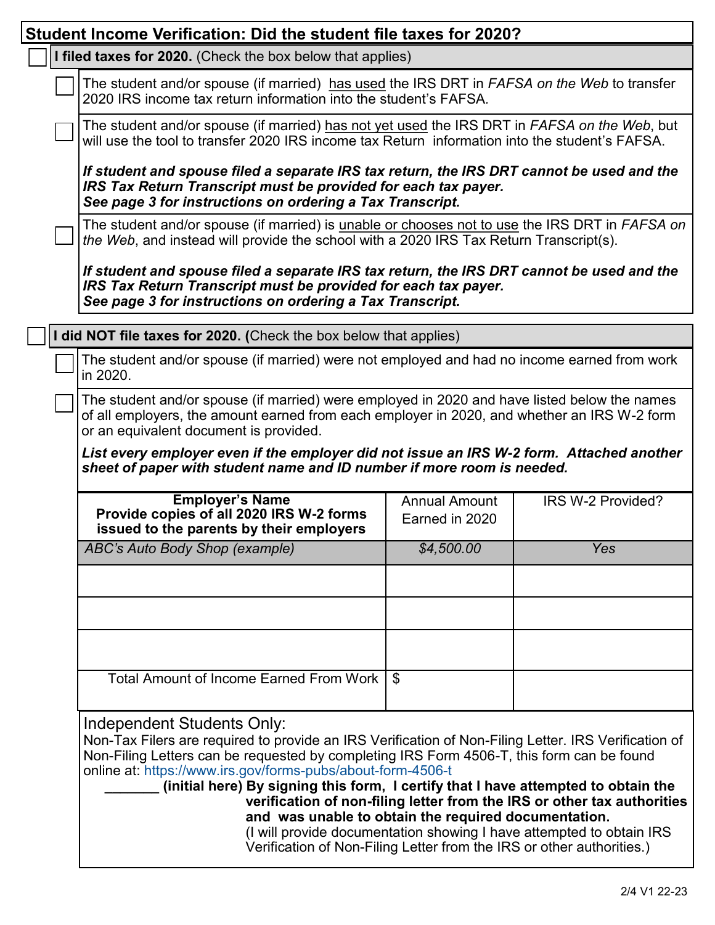| Student Income Verification: Did the student file taxes for 2020?                                                                                                                                                                                                                                                                                                                                                                                                                                                                                                                                                                                                        |                                                                                                                                                                                                |                   |  |  |  |
|--------------------------------------------------------------------------------------------------------------------------------------------------------------------------------------------------------------------------------------------------------------------------------------------------------------------------------------------------------------------------------------------------------------------------------------------------------------------------------------------------------------------------------------------------------------------------------------------------------------------------------------------------------------------------|------------------------------------------------------------------------------------------------------------------------------------------------------------------------------------------------|-------------------|--|--|--|
| I filed taxes for 2020. (Check the box below that applies)                                                                                                                                                                                                                                                                                                                                                                                                                                                                                                                                                                                                               |                                                                                                                                                                                                |                   |  |  |  |
| The student and/or spouse (if married) has used the IRS DRT in <i>FAFSA on the Web</i> to transfer<br>2020 IRS income tax return information into the student's FAFSA.                                                                                                                                                                                                                                                                                                                                                                                                                                                                                                   |                                                                                                                                                                                                |                   |  |  |  |
|                                                                                                                                                                                                                                                                                                                                                                                                                                                                                                                                                                                                                                                                          | The student and/or spouse (if married) has not yet used the IRS DRT in FAFSA on the Web, but<br>will use the tool to transfer 2020 IRS income tax Return information into the student's FAFSA. |                   |  |  |  |
| If student and spouse filed a separate IRS tax return, the IRS DRT cannot be used and the<br>IRS Tax Return Transcript must be provided for each tax payer.<br>See page 3 for instructions on ordering a Tax Transcript.                                                                                                                                                                                                                                                                                                                                                                                                                                                 |                                                                                                                                                                                                |                   |  |  |  |
| The student and/or spouse (if married) is unable or chooses not to use the IRS DRT in FAFSA on<br>the Web, and instead will provide the school with a 2020 IRS Tax Return Transcript(s).                                                                                                                                                                                                                                                                                                                                                                                                                                                                                 |                                                                                                                                                                                                |                   |  |  |  |
| If student and spouse filed a separate IRS tax return, the IRS DRT cannot be used and the<br>IRS Tax Return Transcript must be provided for each tax payer.<br>See page 3 for instructions on ordering a Tax Transcript.                                                                                                                                                                                                                                                                                                                                                                                                                                                 |                                                                                                                                                                                                |                   |  |  |  |
| I did NOT file taxes for 2020. (Check the box below that applies)                                                                                                                                                                                                                                                                                                                                                                                                                                                                                                                                                                                                        |                                                                                                                                                                                                |                   |  |  |  |
| The student and/or spouse (if married) were not employed and had no income earned from work<br>in 2020.                                                                                                                                                                                                                                                                                                                                                                                                                                                                                                                                                                  |                                                                                                                                                                                                |                   |  |  |  |
| The student and/or spouse (if married) were employed in 2020 and have listed below the names<br>of all employers, the amount earned from each employer in 2020, and whether an IRS W-2 form<br>or an equivalent document is provided.                                                                                                                                                                                                                                                                                                                                                                                                                                    |                                                                                                                                                                                                |                   |  |  |  |
| List every employer even if the employer did not issue an IRS W-2 form. Attached another<br>sheet of paper with student name and ID number if more room is needed.                                                                                                                                                                                                                                                                                                                                                                                                                                                                                                       |                                                                                                                                                                                                |                   |  |  |  |
| <b>Employer's Name</b><br>Provide copies of all 2020 IRS W-2 forms<br>issued to the parents by their employers                                                                                                                                                                                                                                                                                                                                                                                                                                                                                                                                                           | <b>Annual Amount</b><br>Earned in 2020                                                                                                                                                         | IRS W-2 Provided? |  |  |  |
| ABC's Auto Body Shop (example)                                                                                                                                                                                                                                                                                                                                                                                                                                                                                                                                                                                                                                           | \$4,500.00                                                                                                                                                                                     | Yes               |  |  |  |
|                                                                                                                                                                                                                                                                                                                                                                                                                                                                                                                                                                                                                                                                          |                                                                                                                                                                                                |                   |  |  |  |
|                                                                                                                                                                                                                                                                                                                                                                                                                                                                                                                                                                                                                                                                          |                                                                                                                                                                                                |                   |  |  |  |
|                                                                                                                                                                                                                                                                                                                                                                                                                                                                                                                                                                                                                                                                          |                                                                                                                                                                                                |                   |  |  |  |
| Total Amount of Income Earned From Work                                                                                                                                                                                                                                                                                                                                                                                                                                                                                                                                                                                                                                  | \$                                                                                                                                                                                             |                   |  |  |  |
| Independent Students Only:<br>Non-Tax Filers are required to provide an IRS Verification of Non-Filing Letter. IRS Verification of<br>Non-Filing Letters can be requested by completing IRS Form 4506-T, this form can be found<br>online at: https://www.irs.gov/forms-pubs/about-form-4506-t<br>(initial here) By signing this form, I certify that I have attempted to obtain the<br>verification of non-filing letter from the IRS or other tax authorities<br>and was unable to obtain the required documentation.<br>(I will provide documentation showing I have attempted to obtain IRS<br>Verification of Non-Filing Letter from the IRS or other authorities.) |                                                                                                                                                                                                |                   |  |  |  |
|                                                                                                                                                                                                                                                                                                                                                                                                                                                                                                                                                                                                                                                                          |                                                                                                                                                                                                |                   |  |  |  |

Г

ī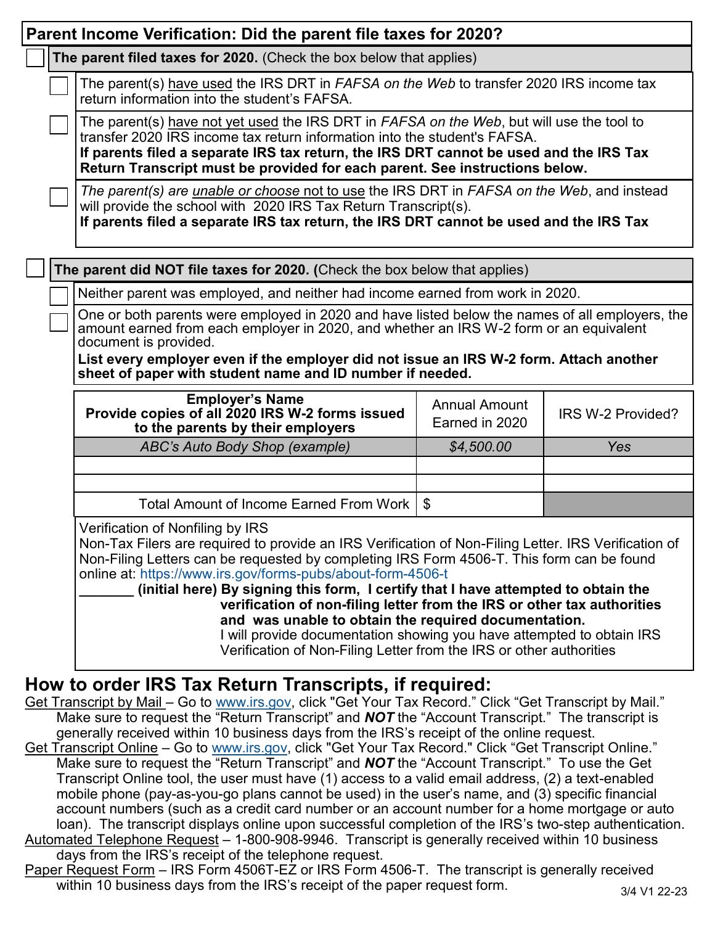|                                                                                                                                                                                                                                                                                                                                                                                                                                                                                                                                                                                                                                                                               | Parent Income Verification: Did the parent file taxes for 2020?                                                                                                                                                                                                                                                                                                                                                                                                                    |                                        |                   |  |  |
|-------------------------------------------------------------------------------------------------------------------------------------------------------------------------------------------------------------------------------------------------------------------------------------------------------------------------------------------------------------------------------------------------------------------------------------------------------------------------------------------------------------------------------------------------------------------------------------------------------------------------------------------------------------------------------|------------------------------------------------------------------------------------------------------------------------------------------------------------------------------------------------------------------------------------------------------------------------------------------------------------------------------------------------------------------------------------------------------------------------------------------------------------------------------------|----------------------------------------|-------------------|--|--|
|                                                                                                                                                                                                                                                                                                                                                                                                                                                                                                                                                                                                                                                                               | The parent filed taxes for 2020. (Check the box below that applies)                                                                                                                                                                                                                                                                                                                                                                                                                |                                        |                   |  |  |
|                                                                                                                                                                                                                                                                                                                                                                                                                                                                                                                                                                                                                                                                               | The parent(s) have used the IRS DRT in FAFSA on the Web to transfer 2020 IRS income tax<br>return information into the student's FAFSA.                                                                                                                                                                                                                                                                                                                                            |                                        |                   |  |  |
|                                                                                                                                                                                                                                                                                                                                                                                                                                                                                                                                                                                                                                                                               | The parent(s) have not yet used the IRS DRT in FAFSA on the Web, but will use the tool to<br>transfer 2020 IRS income tax return information into the student's FAFSA.<br>If parents filed a separate IRS tax return, the IRS DRT cannot be used and the IRS Tax<br>Return Transcript must be provided for each parent. See instructions below.                                                                                                                                    |                                        |                   |  |  |
|                                                                                                                                                                                                                                                                                                                                                                                                                                                                                                                                                                                                                                                                               | The parent(s) are <i>unable or choose</i> not to use the IRS DRT in FAFSA on the Web, and instead<br>will provide the school with 2020 IRS Tax Return Transcript(s).<br>If parents filed a separate IRS tax return, the IRS DRT cannot be used and the IRS Tax                                                                                                                                                                                                                     |                                        |                   |  |  |
|                                                                                                                                                                                                                                                                                                                                                                                                                                                                                                                                                                                                                                                                               | The parent did NOT file taxes for 2020. (Check the box below that applies)                                                                                                                                                                                                                                                                                                                                                                                                         |                                        |                   |  |  |
|                                                                                                                                                                                                                                                                                                                                                                                                                                                                                                                                                                                                                                                                               | Neither parent was employed, and neither had income earned from work in 2020.                                                                                                                                                                                                                                                                                                                                                                                                      |                                        |                   |  |  |
|                                                                                                                                                                                                                                                                                                                                                                                                                                                                                                                                                                                                                                                                               | One or both parents were employed in 2020 and have listed below the names of all employers, the<br>amount earned from each employer in 2020, and whether an IRS W-2 form or an equivalent<br>document is provided.                                                                                                                                                                                                                                                                 |                                        |                   |  |  |
|                                                                                                                                                                                                                                                                                                                                                                                                                                                                                                                                                                                                                                                                               | List every employer even if the employer did not issue an IRS W-2 form. Attach another<br>sheet of paper with student name and ID number if needed.                                                                                                                                                                                                                                                                                                                                |                                        |                   |  |  |
|                                                                                                                                                                                                                                                                                                                                                                                                                                                                                                                                                                                                                                                                               | <b>Employer's Name</b><br>Provide copies of all 2020 IRS W-2 forms issued<br>to the parents by their employers                                                                                                                                                                                                                                                                                                                                                                     | <b>Annual Amount</b><br>Earned in 2020 | IRS W-2 Provided? |  |  |
|                                                                                                                                                                                                                                                                                                                                                                                                                                                                                                                                                                                                                                                                               | ABC's Auto Body Shop (example)                                                                                                                                                                                                                                                                                                                                                                                                                                                     | \$4,500.00                             | Yes               |  |  |
|                                                                                                                                                                                                                                                                                                                                                                                                                                                                                                                                                                                                                                                                               |                                                                                                                                                                                                                                                                                                                                                                                                                                                                                    |                                        |                   |  |  |
|                                                                                                                                                                                                                                                                                                                                                                                                                                                                                                                                                                                                                                                                               | Total Amount of Income Earned From Work                                                                                                                                                                                                                                                                                                                                                                                                                                            | $\boldsymbol{\mathsf{S}}$              |                   |  |  |
|                                                                                                                                                                                                                                                                                                                                                                                                                                                                                                                                                                                                                                                                               |                                                                                                                                                                                                                                                                                                                                                                                                                                                                                    |                                        |                   |  |  |
| Verification of Nonfiling by IRS<br>Non-Tax Filers are required to provide an IRS Verification of Non-Filing Letter. IRS Verification of<br>Non-Filing Letters can be requested by completing IRS Form 4506-T. This form can be found<br>online at: https://www.irs.gov/forms-pubs/about-form-4506-t<br>(initial here) By signing this form, I certify that I have attempted to obtain the<br>verification of non-filing letter from the IRS or other tax authorities<br>and was unable to obtain the required documentation.<br>I will provide documentation showing you have attempted to obtain IRS<br>Verification of Non-Filing Letter from the IRS or other authorities |                                                                                                                                                                                                                                                                                                                                                                                                                                                                                    |                                        |                   |  |  |
|                                                                                                                                                                                                                                                                                                                                                                                                                                                                                                                                                                                                                                                                               | How to order IRS Tax Return Transcripts, if required:<br>Get Transcript by Mail - Go to www.irs.gov, click "Get Your Tax Record." Click "Get Transcript by Mail."<br>Make sure to request the "Return Transcript" and <b>NOT</b> the "Account Transcript." The transcript is<br>generally received within 10 business days from the IRS's receipt of the online request.<br>Cet Transcript Opline - Co to www.irs.gov. click "Cet Vour Tax Record " Click "Cet Transcript Opline " |                                        |                   |  |  |

- <u>iet Transcript Online</u> Go to <u>[www.irs.gov,](http://www.irs.gov)</u> click "Get Your Tax Record." Click "Get Transcript Online. Make sure to request the "Return Transcript" and **NOT** the "Account Transcript." To use the Get Transcript Online tool, the user must have (1) access to a valid email address, (2) a text-enabled mobile phone (pay-as-you-go plans cannot be used) in the user's name, and (3) specific financial account numbers (such as a credit card number or an account number for a home mortgage or auto loan). The transcript displays online upon successful completion of the IRS's two-step authentication. Automated Telephone Request – 1-800-908-9946. Transcript is generally received within 10 business
- days from the IRS's receipt of the telephone request.
- Paper Request Form IRS Form 4506T-EZ or IRS Form 4506-T. The transcript is generally received within 10 business days from the IRS's receipt of the paper request form.